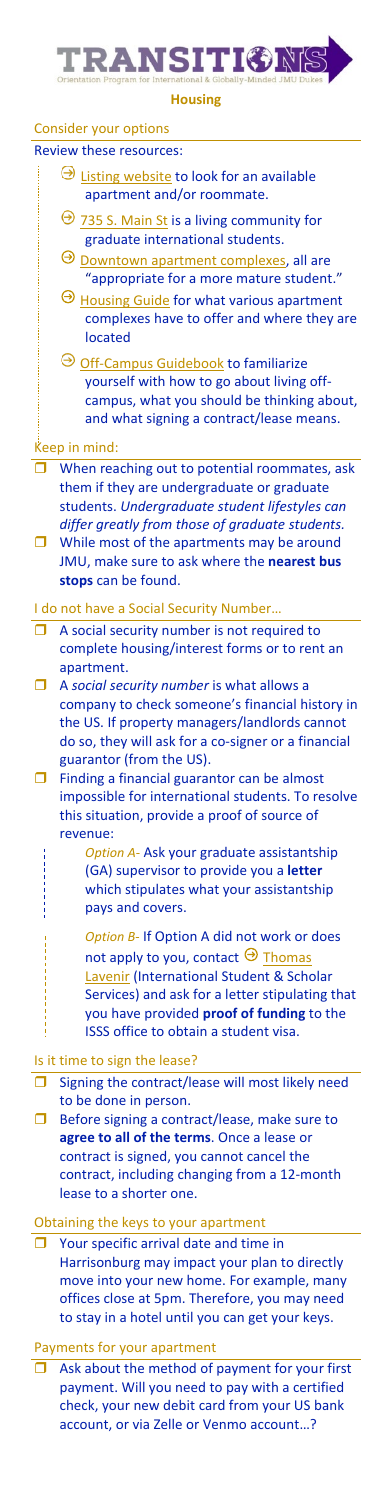# **TRANSITIONS**

**Housing**

## Consider your options

### Review these resources:

- $\Theta$  [Listing website](https://offcampushousing.jmu.edu/) to look for an available apartment and/or roommate.
- $\Theta$  [735 S. Main St](https://www.jmu.edu/grad/current-students/housing.shtml) is a living community for graduate international students.
- $\Theta$  Downtown apartment [complexes,](https://downtownharrisonburg.org/downtown-directory-category/live/) all are "appropriate for a more mature student."
- $\Theta$  [Housing Guide](https://info.jmu.edu/ocl/wp-content/uploads/sites/3/2019/09/19-20_OCL_HousingGuide.pdf?_ga=2.23240572.757705375.1590671339-1523558337.1585053376) for what various apartment complexes have to offer and where they are located
- O [Off-Campus Guidebook](https://info.jmu.edu/ocl/wp-content/uploads/sites/3/2019/09/1819-OCL-Guidebook.pdf?_ga=2.158111996.757705375.1590671339-1523558337.1585053376) to familiarize yourself with how to go about living offcampus, what you should be thinking about, and what signing a contract/lease means.

#### Keep in mind:

- When reaching out to potential roommates, ask them if they are undergraduate or graduate students. *Undergraduate student lifestyles can differ greatly from those of graduate students.*  $\Box$  While most of the apartments may be around JMU, make sure to ask where the **nearest bus** 
	- **stops** can be found.

#### I do not have a Social Security Number…

- A social security number is not required to complete housing/interest forms or to rent an apartment.
- A *social security number* is what allows a company to check someone's financial history in the US. If property managers/landlords cannot do so, they will ask for a co-signer or a financial guarantor (from the US).
- $\Box$  Finding a financial guarantor can be almost impossible for international students. To resolve this situation, provide a proof of source of revenue:
	- *Option A* Ask your graduate assistantship (GA) supervisor to provide you a **letter** which stipulates what your assistantship pays and covers.
	- *Option B* If Option A did not work or does not apply to you, contact  $\Theta$  Thomas [Lavenir \(](mailto:lavenitp@jmu.edu?subject=apt-%20financial%20guarantee)International Student & Scholar Services) and ask for a letter stipulating that you have provided **proof of funding** to the ISSS office to obtain a student visa.

#### Is it time to sign the lease?

- $\Box$  Signing the contract/lease will most likely need to be done in person.
- $\Box$  Before signing a contract/lease, make sure to **agree to all of the terms**. Once a lease or contract is signed, you cannot cancel the contract, including changing from a 12-month lease to a shorter one.

## Obtaining the keys to your apartment

 $\Box$  Your specific arrival date and time in Harrisonburg may impact your plan to directly move into your new home. For example, many offices close at 5pm. Therefore, you may need to stay in a hotel until you can get your keys.

#### Payments for your apartment

 Ask about the method of payment for your first payment. Will you need to pay with a certified check, your new debit card from your US bank account, or via Zelle or Venmo account…?